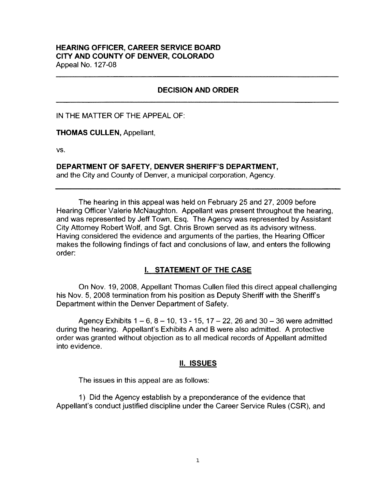### **HEARING OFFICER, CAREER SERVICE BOARD CITY AND COUNTY OF DENVER, COLORADO**  Appeal No. 127-08

### **DECISION AND ORDER**

IN THE MATTER OF THE APPEAL OF:

**THOMAS CULLEN,** Appellant,

**vs.** 

#### **DEPARTMENT OF SAFETY, DENVER SHERIFF'S DEPARTMENT,**

and the City and County of Denver, a municipal corporation, Agency.

The hearing in this appeal was held on February 25 and 27, 2009 before Hearing Officer Valerie McNaughton. Appellant was present throughout the hearing, and was represented by Jeff Town, Esq. The Agency was represented by Assistant City Attorney Robert Wolf, and Sgt. Chris Brown served as its advisory witness. Having considered the evidence and arguments of the parties, the Hearing Officer makes the following findings of fact and conclusions of law, and enters the following order:

### I. **STATEMENT OF THE CASE**

On Nov. 19, 2008, Appellant Thomas Cullen filed this direct appeal challenging his Nov. 5, 2008 termination from his position as Deputy Sheriff with the Sheriff's Department within the Denver Department of Safety.

Agency Exhibits  $1 - 6$ ,  $8 - 10$ ,  $13 - 15$ ,  $17 - 22$ , 26 and  $30 - 36$  were admitted during the hearing. Appellant's Exhibits A and B were also admitted. A protective order was granted without objection as to all medical records of Appellant admitted into evidence.

### II. **ISSUES**

The issues in this appeal are as follows:

1) Did the Agency establish by a preponderance of the evidence that Appellant's conduct justified discipline under the Career Service Rules (CSR), and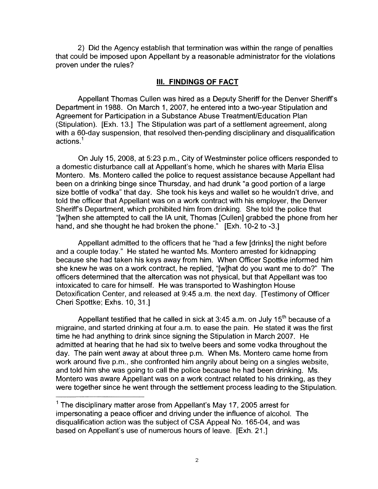2) Did the Agency establish that termination was within the range of penalties that could be imposed upon Appellant by a reasonable administrator for the violations proven under the rules?

## Ill. **FINDINGS OF FACT**

Appellant Thomas Cullen was hired as a Deputy Sheriff for the Denver Sheriffs Department in 1988. On March 1, 2007, he entered into a two-year Stipulation and Agreement for Participation in a Substance Abuse Treatment/Education Plan (Stipulation). [Exh. 13.] The Stipulation was part of a settlement agreement, along with a 60-day suspension, that resolved then-pending disciplinary and disqualification actions.<sup>1</sup>

On July 15, 2008, at 5:23 p.m., City of Westminster police officers responded to a domestic disturbance call at Appellant's home, which he shares with Maria Elisa Montero. Ms. Montero called the police to request assistance because Appellant had been on a drinking binge since Thursday, and had drunk "a good portion of a large size bottle of vodka" that day. She took his keys and wallet so he wouldn't drive, and told the officer that Appellant was on a work contract with his employer, the Denver Sheriffs Department, which prohibited him from drinking. She told the police that "[w]hen she attempted to call the IA unit, Thomas [Cullen] grabbed the phone from her hand, and she thought he had broken the phone." [Exh. 10-2 to -3.]

Appellant admitted to the officers that he "had a few [drinks] the night before and a couple today." He stated he wanted Ms. Montero arrested for kidnapping because she had taken his keys away from him. When Officer Spottke informed him she knew he was on a work contract, he replied, "[w]hat do you want me to do?" The officers determined that the altercation was not physical, but that Appellant was too intoxicated to care for himself. He was transported to Washington House Detoxification Center, and released at 9:45 a.m. the next day. [Testimony of Officer Cheri Spottke; Exhs. 10, 31.]

Appellant testified that he called in sick at 3:45 a.m. on July  $15<sup>th</sup>$  because of a migraine, and started drinking at four a.m. to ease the pain. He stated it was the first time he had anything to drink since signing the Stipulation in March 2007. He admitted at hearing that he had six to twelve beers and some vodka throughout the day. The pain went away at about three p.m. When Ms. Montero came home from work around five p.m., she confronted him angrily about being on a singles website, and told him she was going to call the police because he had been drinking. Ms. Montero was aware Appellant was on a work contract related to his drinking, as they were together since he went through the settlement process leading to the Stipulation.

 $1$  The disciplinary matter arose from Appellant's May 17, 2005 arrest for impersonating a peace officer and driving under the influence of alcohol. The disqualification action was the subject of CSA Appeal No. 165-04, and was based on Appellant's use of numerous hours of leave. [Exh. 21.]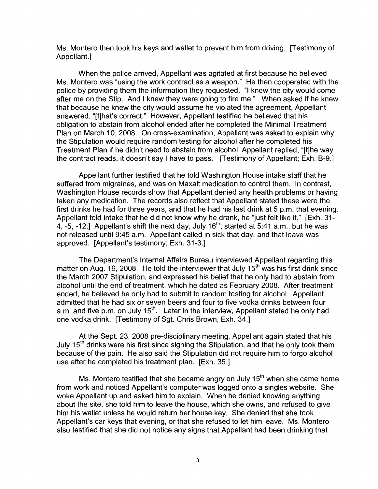Ms. Montero then took his keys and wallet to prevent him from driving. [Testimony of Appellant.]

When the police arrived, Appellant was agitated at first because he believed Ms. Montero was "using the work contract as a weapon." He then cooperated with the police by providing them the information they requested. "I knew the city would come after me on the Stip. And I knew they were going to fire me." When asked if he knew that because he knew the city would assume he violated the agreement, Appellant answered, "[t]hat's correct." However, Appellant testified he believed that his obligation to abstain from alcohol ended after he completed the Minimal Treatment Plan on March 10, 2008. On cross-examination, Appellant was asked to explain why the Stipulation would require random testing for alcohol after he completed his Treatment Plan if he didn't need to abstain from alcohol, Appellant replied, "[t]he way the contract reads, it doesn't say I have to pass." [Testimony of Appellant; Exh. B-9.]

Appellant further testified that he told Washington House intake staff that he suffered from migraines, and was on Maxalt medication to control them. In contrast, Washington House records show that Appellant denied any health problems or having taken any medication. The records also reflect that Appellant stated these were the first drinks he had for three years, and that he had his last drink at 5 p.m. that evening. Appellant told intake that he did not know why he drank, he "just felt like it." [Exh. 31- 4, -5, -12.] Appellant's shift the next day, July  $16<sup>th</sup>$ , started at 5:41 a.m., but he was not released until 9:45 a.m. Appellant called in sick that day, and that leave was approved. [Appellant's testimony; Exh. 31-3.]

The Department's Internal Affairs Bureau interviewed Appellant regarding this matter on Aug. 19, 2008. He told the interviewer that July 15<sup>th</sup> was his first drink since the March 2007 Stipulation, and expressed his belief that he only had to abstain from alcohol until the end of treatment, which he dated as February 2008. After treatment ended, he believed he only had to submit to random testing for alcohol. Appellant admitted that he had six or seven beers and four to five vodka drinks between four a.m. and five p.m. on July 15<sup>th</sup>. Later in the interview, Appellant stated he only had one vodka drink. [Testimony of Sgt. Chris Brown, Exh. 34.]

At the Sept. 23, 2008 pre-disciplinary meeting, Appellant again stated that his July  $15<sup>th</sup>$  drinks were his first since signing the Stipulation, and that he only took them because of the pain. He also said the Stipulation did not require him to forgo alcohol use after he completed his treatment plan. [Exh. 35.]

Ms. Montero testified that she became angry on July  $15<sup>th</sup>$  when she came home from work and noticed Appellant's computer was logged onto a singles website. She woke Appellant up and asked him to explain. When he denied knowing anything about the site, she told him to leave the house, which she owns, and refused to give him his wallet unless he would return her house key. She denied that she took Appellant's car keys that evening, or that she refused to let him leave. Ms. Montero also testified that she did not notice any signs that Appellant had been drinking that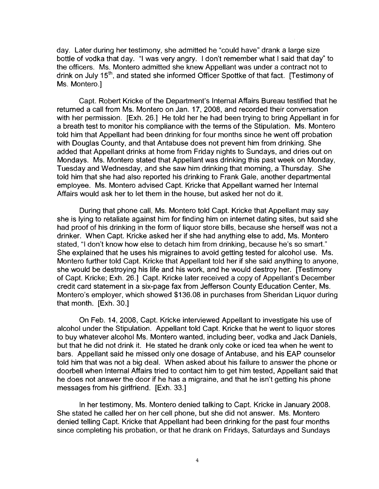day. Later during her testimony, she admitted he "could have" drank a large size bottle of vodka that day. "I was very angry. I don't remember what I said that day'' to the officers. Ms. Montero admitted she knew Appellant was under a contract not to drink on July 15<sup>th</sup>, and stated she informed Officer Spottke of that fact. [Testimony of Ms. Montero.]

Capt. Robert Kricke of the Department's Internal Affairs Bureau testified that he returned a call from Ms. Montero on Jan. 17, 2008, and recorded their conversation with her permission. [Exh. 26.] He told her he had been trying to bring Appellant in for a breath test to monitor his compliance with the terms of the Stipulation. Ms. Montero told him that Appellant had been drinking for four months since he went off probation with Douglas County, and that Antabuse does not prevent him from drinking. She added that Appellant drinks at home from Friday nights to Sundays, and dries out on Mondays. Ms. Montero stated that Appellant was drinking this past week on Monday, Tuesday and Wednesday, and she saw him drinking that morning, a Thursday. She told him that she had also reported his drinking to Frank Gale, another departmental employee. Ms. Montero advised Capt. Kricke that Appellant warned her Internal Affairs would ask her to let them in the house, but asked her not do it.

During that phone call, Ms. Montero told Capt. Kricke that Appellant may say she is lying to retaliate against him for finding him on internet dating sites, but said she had proof of his drinking in the form of liquor store bills, because she herself was not a drinker. When Capt. Kricke asked her if she had anything else to add, Ms. Montero stated, "I don't know how else to detach him from drinking, because he's so smart." She explained that he uses his migraines to avoid getting tested for alcohol use. Ms. Montero further told Capt. Kricke that Appellant told her if she said anything to anyone, she would be destroying his life and his work, and he would destroy her. [Testimony of Capt. Kricke; Exh. 26.] Capt. Kricke later received a copy of Appellant's December credit card statement in a six-page fax from Jefferson County Education Center, Ms. Montero's employer, which showed \$136.08 in purchases from Sheridan Liquor during that month. [Exh. 30.]

On Feb. 14, 2008, Capt. Kricke interviewed Appellant to investigate his use of alcohol under the Stipulation. Appellant told Capt. Kricke that he went to liquor stores to buy whatever alcohol Ms. Montero wanted, including beer, vodka and Jack Daniels, but that he did not drink it. He stated he drank only coke or iced tea when he went to bars. Appellant said he missed only one dosage of Antabuse, and his EAP counselor told him that was not a big deal. When asked about his failure to answer the phone or doorbell when Internal Affairs tried to contact him to get him tested, Appellant said that he does not answer the door if he has a migraine, and that he isn't getting his phone messages from his girlfriend. [Exh. 33.]

In her testimony, Ms. Montero denied talking to Capt. Kricke in January 2008. She stated he called her on her cell phone, but she did not answer. Ms. Montero denied telling Capt. Kricke that Appellant had been drinking for the past four months since completing his probation, or that he drank on Fridays, Saturdays and Sundays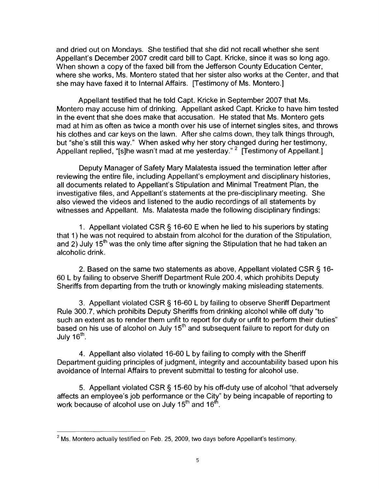and dried out on Mondays. She testified that she did not recall whether she sent Appellant's December 2007 credit card bill to Capt. Kricke, since it was so long ago. When shown a copy of the faxed bill from the Jefferson County Education Center, where she works, Ms. Montero stated that her sister also works at the Center, and that she may have faxed it to Internal Affairs. [Testimony of Ms. Montero.]

Appellant testified that he told Capt. Kricke in September 2007 that Ms. Montero may accuse him of drinking. Appellant asked Capt. Kricke to have him tested in the event that she does make that accusation. He stated that Ms. Montero gets mad at him as often as twice a month over his use of internet singles sites, and throws his clothes and car keys on the lawn. After she calms down, they talk things through, but "she's still this way." When asked why her story changed during her testimony, Appellant replied, "[s]he wasn't mad at me yesterday." <sup>2</sup> [Testimony of Appellant.]

Deputy Manager of Safety Mary Malatesta issued the termination letter after reviewing the entire file, including Appellant's employment and disciplinary histories, all documents related to Appellant's Stipulation and Minimal Treatment Plan, the investigative files, and Appellant's statements at the pre-disciplinary meeting. She also viewed the videos and listened to the audio recordings of all statements by witnesses and Appellant. Ms. Malatesta made the following disciplinary findings:

1 . Appellant violated CSR § 16-60 E when he lied to his superiors by stating that 1) he was not required to abstain from alcohol for the duration of the Stipulation, and 2) July 15<sup>th</sup> was the only time after signing the Stipulation that he had taken an alcoholic drink.

2. Based on the same two statements as above, Appellant violated CSR § 16- 60 L by failing to observe Sheriff Department Rule 200.4, which prohibits Deputy Sheriffs from departing from the truth or knowingly making misleading statements.

3. Appellant violated CSR § 16-60 L by failing to observe Sheriff Department Rule 300.7, which prohibits Deputy Sheriffs from drinking alcohol while off duty "to such an extent as to render them unfit to report for duty or unfit to perform their duties" based on his use of alcohol on July 15<sup>th</sup> and subsequent failure to report for duty on July  $16^{\text{th}}$ .

4. Appellant also violated 16-60 L by failing to comply with the Sheriff Department guiding principles of judgment, integrity and accountability based upon his avoidance of Internal Affairs to prevent submittal to testing for alcohol use.

5. Appellant violated CSR § 15-60 by his off-duty use of alcohol "that adversely affects an employee's job performance or the City" by being incapable of reporting to work because of alcohol use on July  $15<sup>th</sup>$  and  $16<sup>th</sup>$ .

 $2$  Ms. Montero actually testified on Feb. 25, 2009, two days before Appellant's testimony.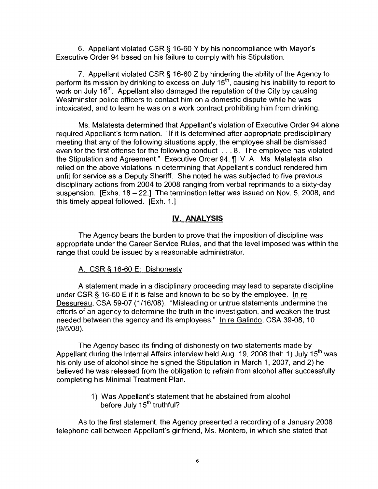6. Appellant violated CSR § 16-60 Y by his noncompliance with Mayor's Executive Order 94 based on his failure to comply with his Stipulation.

7. Appellant violated CSR § 16-60 Z by hindering the ability of the Agency to perform its mission by drinking to excess on July 15<sup>th</sup>, causing his inability to report to work on July  $16<sup>th</sup>$ . Appellant also damaged the reputation of the City by causing Westminster police officers to contact him on a domestic dispute while he was intoxicated, and to learn he was on a work contract prohibiting him from drinking.

Ms. Malatesta determined that Appellant's violation of Executive Order 94 alone required Appellant's termination. "If it is determined after appropriate predisciplinary meeting that any of the following situations apply, the employee shall be dismissed even for the first offense for the following conduct ... 8. The employee has violated the Stipulation and Agreement." Executive Order 94,  $\P$  IV. A. Ms. Malatesta also relied on the above violations in determining that Appellant's conduct rendered him unfit for service as a Deputy Sheriff. She noted he was subjected to five previous disciplinary actions from 2004 to 2008 ranging from verbal reprimands to a sixty-day suspension. [Exhs. 18 - 22.] The termination letter was issued on Nov. 5, 2008, and this timely appeal followed. [Exh. 1.]

# **IV. ANALYSIS**

The Agency bears the burden to prove that the imposition of discipline was appropriate under the Career Service Rules, and that the level imposed was within the range that could be issued by a reasonable administrator.

## A. CSR § 16-60 E: Dishonesty

A statement made in a disciplinary proceeding may lead to separate discipline under CSR§ 16-60 E if it is false and known to be so by the employee. In re Dessureau, CSA 59-07 (1/16/08). "Misleading or untrue statements undermine the efforts of an agency to determine the truth in the investigation, and weaken the trust needed between the agency and its employees." In re Galindo, CSA 39-08, 10 (9/5/08).

The Agency based its finding of dishonesty on two statements made by Appellant during the Internal Affairs interview held Aug. 19, 2008 that: 1) July 15<sup>th</sup> was his only use of alcohol since he signed the Stipulation in March 1, 2007, and 2) he believed he was released from the obligation to refrain from alcohol after successfully completing his Minimal Treatment Plan.

> 1) Was Appellant's statement that he abstained from alcohol before July 15<sup>th</sup> truthful?

As to the first statement, the Agency presented a recording of a January 2008 telephone call between Appellant's girlfriend, Ms. Montero, in which she stated that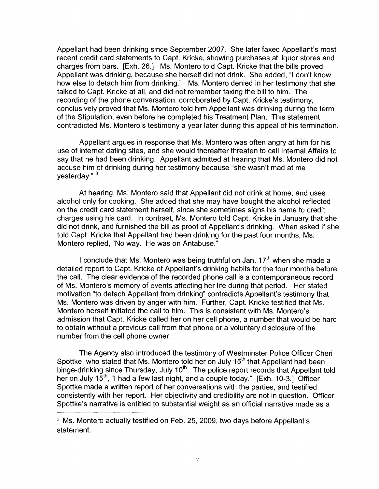Appellant had been drinking since September 2007. She later faxed Appellant's most recent credit card statements to Capt. Kricke, showing purchases at liquor stores and charges from bars. [Exh. 26.] Ms. Montero told Capt. Kricke that the bills proved Appellant was drinking, because she herself did not drink. She added, "I don't know how else to detach him from drinking." Ms. Montero denied in her testimony that she talked to Capt. Kricke at all, and did not remember faxing the bill to him. The recording of the phone conversation, corroborated by Capt. Kricke's testimony, conclusively proved that Ms. Montero told him Appellant was drinking during the term of the Stipulation, even before he completed his Treatment Plan. This statement contradicted Ms. Montero's testimony a year later during this appeal of his termination.

Appellant argues in response that Ms. Montero was often angry at him for his use of internet dating sites, and she would thereafter threaten to call Internal Affairs to say that he had been drinking. Appellant admitted at hearing that Ms. Montero did not accuse him of drinking during her testimony because "she wasn't mad at me vesterday." <sup>3</sup>

At hearing, Ms. Montero said that Appellant did not drink at home, and uses alcohol only for cooking. She added that she may have bought the alcohol reflected on the credit card statement herself, since she sometimes signs his name to credit charges using his card. In contrast, Ms. Montero told Capt. Kricke in January that she did not drink, and furnished the bill as proof of Appellant's drinking. When asked if she told Capt. Kricke that Appellant had been drinking for the past four months, Ms. Montero replied, "No way. He was on Antabuse."

I conclude that Ms. Montero was being truthful on Jan.  $17<sup>th</sup>$  when she made a detailed report to Capt. Kricke of Appellant's drinking habits for the four months before the call. The clear evidence of the recorded phone call is a contemporaneous record of Ms. Montero's memory of events affecting her life during that period. Her stated motivation "to detach Appellant from drinking" contradicts Appellant's testimony that Ms. Montero was driven by anger with him. Further, Capt. Kricke testified that Ms. Montero herself initiated the call to him. This is consistent with Ms. Montero's admission that Capt. Kricke called her on her cell phone, a number that would be hard to obtain without a previous call from that phone or a voluntary disclosure of the number from the cell phone owner.

The Agency also introduced the testimony of Westminster Police Officer Cheri Spottke, who stated that Ms. Montero told her on July 15<sup>th</sup> that Appellant had been binge-drinking since Thursday, July 10<sup>th</sup>. The police report records that Appellant told her on July 15<sup>th</sup>, "I had a few last night, and a couple today." [Exh. 10-3.] Officer Spottke made a written report of her conversations with the parties, and testified consistently with her report. Her objectivity and credibility are not in question. Officer Spottke's narrative is entitled to substantial weight as an official narrative made as a

<sup>&</sup>lt;sup>3</sup> Ms. Montero actually testified on Feb. 25, 2009, two days before Appellant's statement.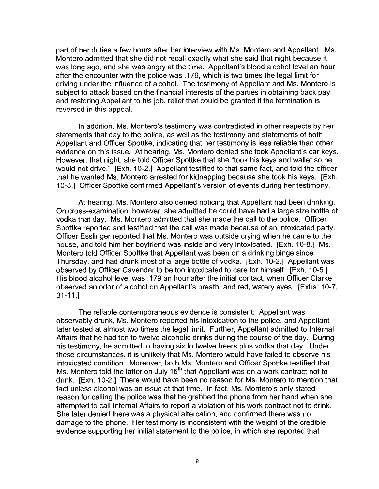part of her duties a few hours after her interview with Ms. Montero and Appellant. Ms. Montero admitted that she did not recall exactly what she said that night because it was long ago, and she was angry at the time. Appellant's blood alcohol level an hour after the encounter with the police was .179, which is two times the legal limit for driving under the influence of alcohol. The testimony of Appellant and Ms. Montero is subject to attack based on the financial interests of the parties in obtaining back pay and restoring Appellant to his job, relief that could be granted if the termination is reversed in this appeal.

In addition, Ms. Montero's testimony was contradicted in other respects by her statements that day to the police, as well as the testimony and statements of both Appellant and Officer Spottke, indicating that her testimony is less reliable than other evidence on this issue. At hearing, Ms. Montero denied she took Appellant's car keys. However, that night, she told Officer Spottke that she "took his keys and wallet so he would not drive." [Exh. 10-2.] Appellant testified to that same fact, and told the officer that he wanted Ms. Montero arrested for kidnapping because she took his keys. [Exh. 10-3.] Officer Spottke confirmed Appellant's version of events during her testimony.

At hearing, Ms. Montero also denied noticing that Appellant had been drinking. On cross-examination, however, she admitted he could have had a large size bottle of vodka that day. Ms. Montero admitted that she made the call to the police. Officer Spottke reported and testified that the call was made because of an intoxicated party. Officer Esslinger reported that Ms. Montero was outside crying when he came to the house, and told him her boyfriend was inside and very intoxicated. [Exh. 10-8.] Ms. Montero told Officer Spottke that Appellant was been on a drinking binge since Thursday, and had drunk most of a large bottle of vodka. [Exh. 10-2.] Appellant was observed by Officer Cavender to be too intoxicated to care for himself. [Exh. 10-5.] His blood alcohol level was .179 an hour after the initial contact, when Officer Clarke observed an odor of alcohol on Appellant's breath, and red, watery eyes. [Exhs. 10-7, 31-11.]

The reliable contemporaneous evidence is consistent: Appellant was observably drunk, Ms. Montero reported his intoxication to the police, and Appellant later tested at almost two times the legal limit. Further, Appellant admitted to Internal Affairs that he had ten to twelve alcoholic drinks during the course of the day. During his testimony, he admitted to having six to twelve beers plus vodka that day. Under these circumstances, it is unlikely that Ms. Montero would have failed to observe his intoxicated condition. Moreover, both Ms. Montero and Officer Spottke testified that Ms. Montero told the latter on July  $15<sup>th</sup>$  that Appellant was on a work contract not to drink. [Exh. 10-2.] There would have been no reason for Ms. Montero to mention that fact unless alcohol was an issue at that time. In fact, Ms. Montero's only stated reason for calling the police was that he grabbed the phone from her hand when she attempted to call Internal Affairs to report a violation of his work contract not to drink. She later denied there was a physical altercation, and confirmed there was no damage to the phone. Her testimony is inconsistent with the weight of the credible evidence supporting her initial statement to the police, in which she reported that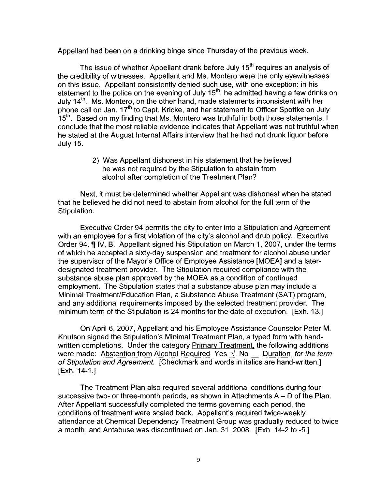Appellant had been on a drinking binge since Thursday of the previous week.

The issue of whether Appellant drank before July  $15<sup>th</sup>$  requires an analysis of the credibility of witnesses. Appellant and Ms. Montero were the only eyewitnesses on this issue. Appellant consistently denied such use, with one exception: in his statement to the police on the evening of July  $15<sup>th</sup>$ , he admitted having a few drinks on July 14<sup>th</sup>. Ms. Montero, on the other hand, made statements inconsistent with her phone call on Jan. 17<sup>th</sup> to Capt. Kricke, and her statement to Officer Spottke on July  $15<sup>th</sup>$ . Based on my finding that Ms. Montero was truthful in both those statements, I conclude that the most reliable evidence indicates that Appellant was not truthful when he stated at the August Internal Affairs interview that he had not drunk liquor before July 15.

> 2) Was Appellant dishonest in his statement that he believed he was not required by the Stipulation to abstain from alcohol after completion of the Treatment Plan?

Next, it must be determined whether Appellant was dishonest when he stated that he believed he did not need to abstain from alcohol for the full term of the Stipulation.

Executive Order 94 permits the city to enter into a Stipulation and Agreement with an employee for a first violation of the city's alcohol and drub policy. Executive Order 94,  $\parallel$  IV, B. Appellant signed his Stipulation on March 1, 2007, under the terms of which he accepted a sixty-day suspension and treatment for alcohol abuse under the supervisor of the Mayor's Office of Employee Assistance [MOEA] and a laterdesignated treatment provider. The Stipulation required compliance with the substance abuse plan approved by the MOEA as a condition of continued employment. The Stipulation states that a substance abuse plan may include a Minimal Treatment/Education Plan, a Substance Abuse Treatment (SAT) program, and any additional requirements imposed by the selected treatment provider. The minimum term of the Stipulation is 24 months for the date of execution. [Exh. 13.)

On April 6, 2007, Appellant and his Employee Assistance Counselor Peter M. Knutson signed the Stipulation's Minimal Treatment Plan, a typed form with handwritten completions. Under the category Primary Treatment, the following additions were made: Abstention from Alcohol Required Yes  $\sqrt{N}$  No Duration for the term of Stipulation and Agreement. [Checkmark and words in italics are hand-written.] **[Exh. 14-1.]** 

The Treatment Plan also required several additional conditions during four successive two- or three-month periods, as shown in Attachments  $A - D$  of the Plan. After Appellant successfully completed the terms governing each period, the conditions of treatment were scaled back. Appellant's required twice-weekly attendance at Chemical Dependency Treatment Group was gradually reduced to twice a month, and Antabuse was discontinued on Jan. 31, 2008. [Exh. 14-2 to -5.)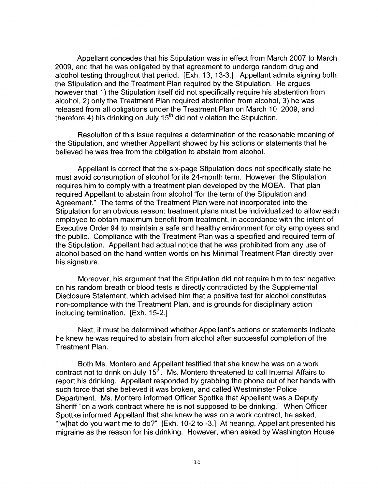Appellant concedes that his Stipulation was in effect from March 2007 to March 2009, and that he was obligated by that agreement to undergo random drug and alcohol testing throughout that period. [Exh. 13, 13-3.] Appellant admits signing both the Stipulation and the Treatment Plan required by the Stipulation. He argues however that 1) the Stipulation itself did not specifically require his abstention from alcohol, 2) only the Treatment Plan required abstention from alcohol, 3) he was released from all obligations under the Treatment Plan on March 10, 2009, and therefore 4) his drinking on July 15<sup>th</sup> did not violation the Stipulation.

Resolution of this issue requires a determination of the reasonable meaning of the Stipulation, and whether Appellant showed by his actions or statements that he believed he was free from the obligation to abstain from alcohol.

Appellant is correct that the six-page Stipulation does not specifically state he must avoid consumption of alcohol for its 24-month term. However, the Stipulation requires him to comply with a treatment plan developed by the MOEA. That plan required Appellant to abstain from alcohol ''for the term of the Stipulation and Agreement." The terms of the Treatment Plan were not incorporated into the Stipulation for an obvious reason: treatment plans must be individualized to allow each employee to obtain maximum benefit from treatment, in accordance with the intent of Executive Order 94 to maintain a safe and healthy environment for city employees and the public. Compliance with the Treatment Plan was a specified and required term of the Stipulation. Appellant had actual notice that he was prohibited from any use of alcohol based on the hand-written words on his Minimal Treatment Plan directly over his signature.

Moreover, his argument that the Stipulation did not require him to test negative on his random breath or blood tests is directly contradicted by the Supplemental Disclosure Statement, which advised him that a positive test for alcohol constitutes non-compliance with the Treatment Plan, and is grounds for disciplinary action including termination. [Exh. 15-2.]

Next, it must be determined whether Appellant's actions or statements indicate he knew he was required to abstain from alcohol after successful completion of the Treatment Plan.

Both Ms. Montero and Appellant testified that she knew he was on a work contract not to drink on July  $15<sup>th</sup>$ . Ms. Montero threatened to call Internal Affairs to report his drinking. Appellant responded by grabbing the phone out of her hands with such force that she believed it was broken, and called Westminster Police Department. Ms. Montero informed Officer Spottke that Appellant was a Deputy Sheriff "on a work contract where he is not supposed to be drinking." When Officer Spottke informed Appellant that she knew he was on a work contract, he asked, "[w]hat do you want me to do?" [Exh. 10-2 to -3.] At hearing, Appellant presented his migraine as the reason for his drinking. However, when asked by Washington House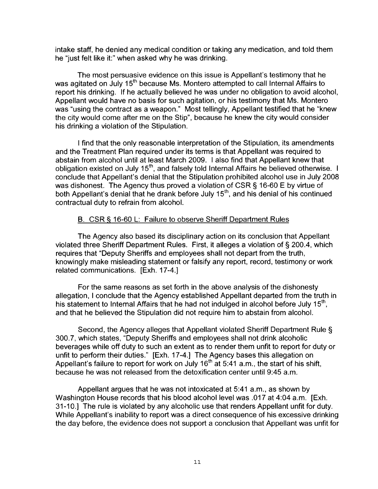intake staff, he denied any medical condition or taking any medication, and told them he "just felt like it:" when asked why he was drinking.

The most persuasive evidence on this issue is Appellant's testimony that he was agitated on July 15<sup>th</sup> because Ms. Montero attempted to call Internal Affairs to report his drinking. If he actually believed he was under no obligation to avoid alcohol, Appellant would have no basis for such agitation, or his testimony that Ms. Montero was "using the contract as a weapon." Most tellingly, Appellant testified that he "knew the city would come after me on the Stip", because he knew the city would consider his drinking a violation of the Stipulation.

I find that the only reasonable interpretation of the Stipulation, its amendments and the Treatment Plan required under its terms is that Appellant was required to abstain from alcohol until at least March 2009. I also find that Appellant knew that obligation existed on July 15<sup>th</sup>, and falsely told Internal Affairs he believed otherwise. I conclude that Appellant's denial that the Stipulation prohibited alcohol use in July 2008 was dishonest. The Agency thus proved a violation of CSR § 16-60 E by virtue of both Appellant's denial that he drank before July 15<sup>th</sup>, and his denial of his continued contractual duty to refrain from alcohol.

### B. CSR§ 16-60 L: Failure to observe Sheriff Department Rules

The Agency also based its disciplinary action on its conclusion that Appellant violated three Sheriff Department Rules. First, it alleges a violation of§ 200.4, which requires that "Deputy Sheriffs and employees shall not depart from the truth, knowingly make misleading statement or falsify any report, record, testimony or work related communications. [Exh. 17-4.]

For the same reasons as set forth in the above analysis of the dishonesty allegation, I conclude that the Agency established Appellant departed from the truth in his statement to Internal Affairs that he had not indulged in alcohol before July 15<sup>th</sup>, and that he believed the Stipulation did not require him to abstain from alcohol.

Second, the Agency alleges that Appellant violated Sheriff Department Rule§ 300.7, which states, "Deputy Sheriffs and employees shall not drink alcoholic beverages while off duty to such an extent as to render them unfit to report for duty or unfit to perform their duties." [Exh. 17-4.] The Agency bases this allegation on Appellant's failure to report for work on July 16<sup>th</sup> at 5:41 a.m., the start of his shift, because he was not released from the detoxification center until 9:45 a.m.

Appellant argues that he was not intoxicated at 5:41 a.m., as shown by Washington House records that his blood alcohol level was .017 at 4:04 a.m. [Exh. 31-10.] The rule is violated by any alcoholic use that renders Appellant unfit for duty. While Appellant's inability to report was a direct consequence of his excessive drinking the day before, the evidence does not support a conclusion that Appellant was unfit for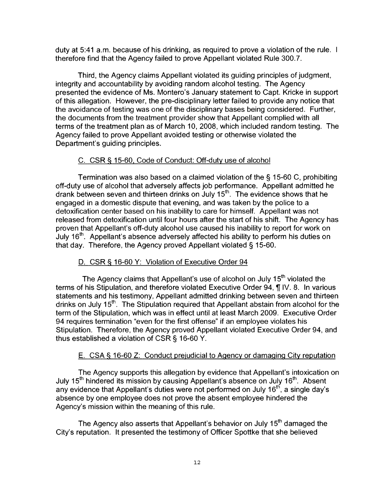duty at 5:41 a.m. because of his drinking, as required to prove a violation of the rule. therefore find that the Agency failed to prove Appellant violated Rule 300.7.

Third, the Agency claims Appellant violated its guiding principles of judgment, integrity and accountability by avoiding random alcohol testing. The Agency presented the evidence of Ms. Montero's January statement to Capt. Kricke in support of this allegation. However, the pre-disciplinary letter failed to provide any notice that the avoidance of testing was one of the disciplinary bases being considered. Further, the documents from the treatment provider show that Appellant complied with all terms of the treatment plan as of March 10, 2008, which included random testing. The Agency failed to prove Appellant avoided testing or otherwise violated the Department's guiding principles.

# C. CSR § 15-60, Code of Conduct: Off-duty use of alcohol

Termination was also based on a claimed violation of the§ 15-60 C, prohibiting off-duty use of alcohol that adversely affects job performance. Appellant admitted he drank between seven and thirteen drinks on July  $15<sup>th</sup>$ . The evidence shows that he engaged in a domestic dispute that evening, and was taken by the police to a detoxification center based on his inability to care for himself. Appellant was not released from detoxification until four hours after the start of his shift. The Agency has proven that Appellant's off-duty alcohol use caused his inability to report for work on July  $16<sup>th</sup>$ . Appellant's absence adversely affected his ability to perform his duties on that day. Therefore, the Agency proved Appellant violated § 15-60.

## D. CSR § 16-60 Y: Violation of Executive Order 94

The Agency claims that Appellant's use of alcohol on July  $15<sup>th</sup>$  violated the terms of his Stipulation, and therefore violated Executive Order 94, ¶ IV. 8. In various statements and his testimony, Appellant admitted drinking between seven and thirteen drinks on July 15<sup>th</sup>. The Stipulation required that Appellant abstain from alcohol for the term of the Stipulation, which was in effect until at least March 2009. Executive Order 94 requires termination "even for the first offense" if an employee violates his Stipulation. Therefore, the Agency proved Appellant violated Executive Order 94, and thus established a violation of CSR § 16-60 Y.

# E. CSA § 16-60 Z: Conduct prejudicial to Agency or damaging City reputation

The Agency supports this allegation by evidence that Appellant's intoxication on July 15<sup>th</sup> hindered its mission by causing Appellant's absence on July 16<sup>th</sup>. Absent any evidence that Appellant's duties were not performed on July  $16^{th}$ , a single day's absence by one employee does not prove the absent employee hindered the Agency's mission within the meaning of this rule.

The Agency also asserts that Appellant's behavior on July  $15<sup>th</sup>$  damaged the City's reputation. It presented the testimony of Officer Spottke that she believed